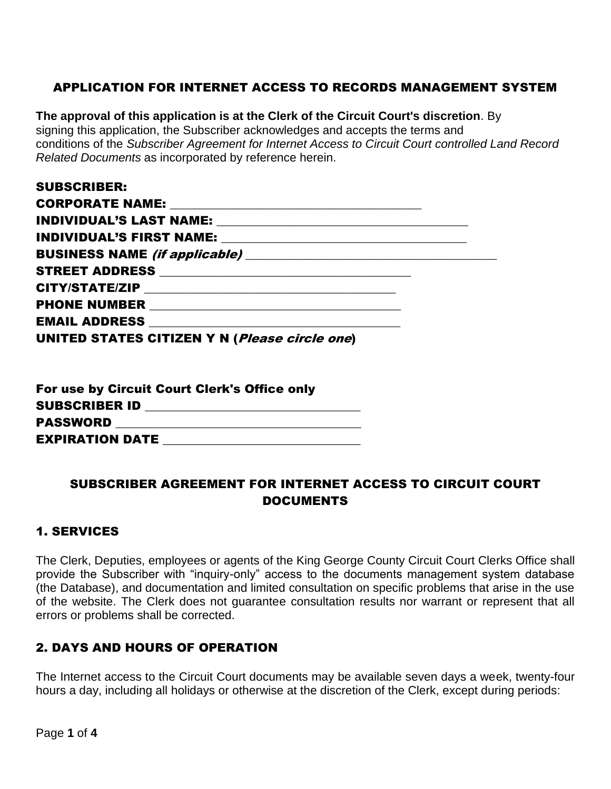# APPLICATION FOR INTERNET ACCESS TO RECORDS MANAGEMENT SYSTEM

**The approval of this application is at the Clerk of the Circuit Court's discretion**. By signing this application, the Subscriber acknowledges and accepts the terms and conditions of the *Subscriber Agreement for Internet Access to Circuit Court controlled Land Record Related Documents* as incorporated by reference herein.

| <b>SUBSCRIBER:</b>                                   |  |
|------------------------------------------------------|--|
|                                                      |  |
|                                                      |  |
|                                                      |  |
|                                                      |  |
|                                                      |  |
|                                                      |  |
|                                                      |  |
| EMAIL ADDRESS NATURAL MARIA AND ANN AN EMAIL ADDRESS |  |
| UNITED STATES CITIZEN Y N (Please circle one)        |  |

|                        | For use by Circuit Court Clerk's Office only |
|------------------------|----------------------------------------------|
| SUBSCRIBER ID          |                                              |
| PASSWORD               |                                              |
| <b>EXPIRATION DATE</b> |                                              |

### SUBSCRIBER AGREEMENT FOR INTERNET ACCESS TO CIRCUIT COURT DOCUMENTS

#### 1. SERVICES

The Clerk, Deputies, employees or agents of the King George County Circuit Court Clerks Office shall provide the Subscriber with "inquiry-only" access to the documents management system database (the Database), and documentation and limited consultation on specific problems that arise in the use of the website. The Clerk does not guarantee consultation results nor warrant or represent that all errors or problems shall be corrected.

#### 2. DAYS AND HOURS OF OPERATION

The Internet access to the Circuit Court documents may be available seven days a week, twenty-four hours a day, including all holidays or otherwise at the discretion of the Clerk, except during periods: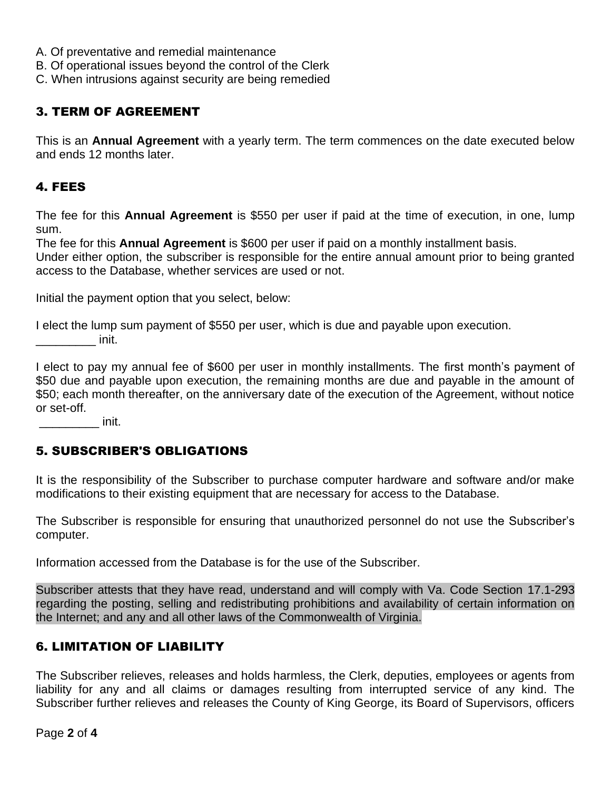- A. Of preventative and remedial maintenance
- B. Of operational issues beyond the control of the Clerk
- C. When intrusions against security are being remedied

### 3. TERM OF AGREEMENT

This is an **Annual Agreement** with a yearly term. The term commences on the date executed below and ends 12 months later.

# 4. FEES

The fee for this **Annual Agreement** is \$550 per user if paid at the time of execution, in one, lump sum.

The fee for this **Annual Agreement** is \$600 per user if paid on a monthly installment basis.

Under either option, the subscriber is responsible for the entire annual amount prior to being granted access to the Database, whether services are used or not.

Initial the payment option that you select, below:

I elect the lump sum payment of \$550 per user, which is due and payable upon execution.  $\qquad \qquad$  init.

I elect to pay my annual fee of \$600 per user in monthly installments. The first month's payment of \$50 due and payable upon execution, the remaining months are due and payable in the amount of \$50; each month thereafter, on the anniversary date of the execution of the Agreement, without notice or set-off.

 $\frac{1}{\sqrt{2\pi}}$  init.

#### 5. SUBSCRIBER'S OBLIGATIONS

It is the responsibility of the Subscriber to purchase computer hardware and software and/or make modifications to their existing equipment that are necessary for access to the Database.

The Subscriber is responsible for ensuring that unauthorized personnel do not use the Subscriber's computer.

Information accessed from the Database is for the use of the Subscriber.

Subscriber attests that they have read, understand and will comply with Va. Code Section 17.1-293 regarding the posting, selling and redistributing prohibitions and availability of certain information on the Internet; and any and all other laws of the Commonwealth of Virginia.

#### 6. LIMITATION OF LIABILITY

The Subscriber relieves, releases and holds harmless, the Clerk, deputies, employees or agents from liability for any and all claims or damages resulting from interrupted service of any kind. The Subscriber further relieves and releases the County of King George, its Board of Supervisors, officers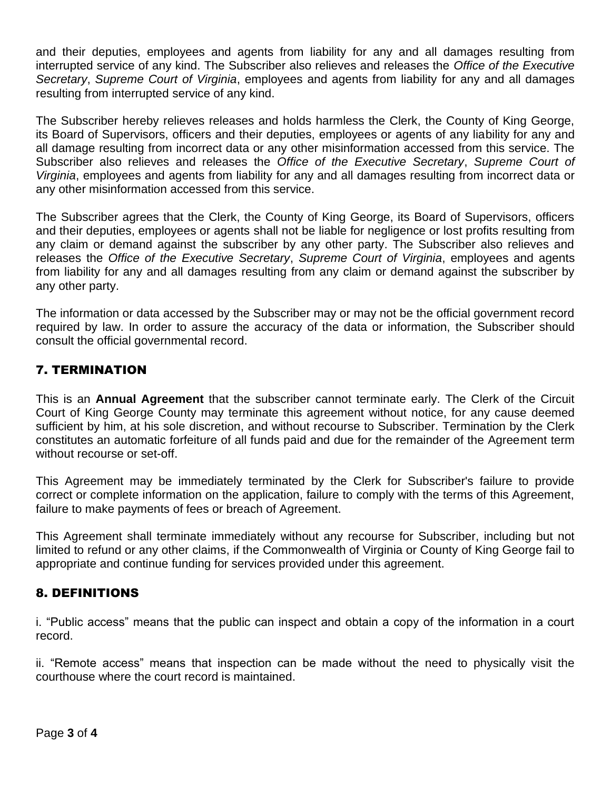and their deputies, employees and agents from liability for any and all damages resulting from interrupted service of any kind. The Subscriber also relieves and releases the *Office of the Executive Secretary*, *Supreme Court of Virginia*, employees and agents from liability for any and all damages resulting from interrupted service of any kind.

The Subscriber hereby relieves releases and holds harmless the Clerk, the County of King George, its Board of Supervisors, officers and their deputies, employees or agents of any liability for any and all damage resulting from incorrect data or any other misinformation accessed from this service. The Subscriber also relieves and releases the *Office of the Executive Secretary*, *Supreme Court of Virginia*, employees and agents from liability for any and all damages resulting from incorrect data or any other misinformation accessed from this service.

The Subscriber agrees that the Clerk, the County of King George, its Board of Supervisors, officers and their deputies, employees or agents shall not be liable for negligence or lost profits resulting from any claim or demand against the subscriber by any other party. The Subscriber also relieves and releases the *Office of the Executive Secretary*, *Supreme Court of Virginia*, employees and agents from liability for any and all damages resulting from any claim or demand against the subscriber by any other party.

The information or data accessed by the Subscriber may or may not be the official government record required by law. In order to assure the accuracy of the data or information, the Subscriber should consult the official governmental record.

# 7. TERMINATION

This is an **Annual Agreement** that the subscriber cannot terminate early. The Clerk of the Circuit Court of King George County may terminate this agreement without notice, for any cause deemed sufficient by him, at his sole discretion, and without recourse to Subscriber. Termination by the Clerk constitutes an automatic forfeiture of all funds paid and due for the remainder of the Agreement term without recourse or set-off.

This Agreement may be immediately terminated by the Clerk for Subscriber's failure to provide correct or complete information on the application, failure to comply with the terms of this Agreement, failure to make payments of fees or breach of Agreement.

This Agreement shall terminate immediately without any recourse for Subscriber, including but not limited to refund or any other claims, if the Commonwealth of Virginia or County of King George fail to appropriate and continue funding for services provided under this agreement.

#### 8. DEFINITIONS

i. "Public access" means that the public can inspect and obtain a copy of the information in a court record.

ii. "Remote access" means that inspection can be made without the need to physically visit the courthouse where the court record is maintained.